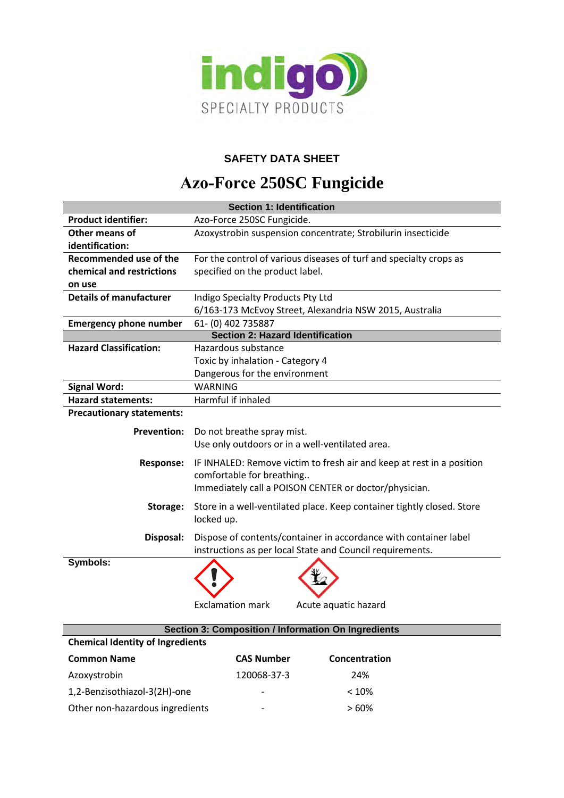

# **SAFETY DATA SHEET**

# **Azo-Force 250SC Fungicide**

| <b>Section 1: Identification</b>        |                                                                                                    |  |
|-----------------------------------------|----------------------------------------------------------------------------------------------------|--|
| <b>Product identifier:</b>              | Azo-Force 250SC Fungicide.                                                                         |  |
| Other means of                          | Azoxystrobin suspension concentrate; Strobilurin insecticide                                       |  |
| identification:                         |                                                                                                    |  |
| Recommended use of the                  | For the control of various diseases of turf and specialty crops as                                 |  |
| chemical and restrictions               | specified on the product label.                                                                    |  |
| on use                                  |                                                                                                    |  |
| <b>Details of manufacturer</b>          | Indigo Specialty Products Pty Ltd                                                                  |  |
|                                         | 6/163-173 McEvoy Street, Alexandria NSW 2015, Australia                                            |  |
| <b>Emergency phone number</b>           | 61-(0) 402 735887                                                                                  |  |
| <b>Section 2: Hazard Identification</b> |                                                                                                    |  |
| <b>Hazard Classification:</b>           | Hazardous substance                                                                                |  |
|                                         | Toxic by inhalation - Category 4                                                                   |  |
|                                         | Dangerous for the environment                                                                      |  |
| <b>Signal Word:</b>                     | <b>WARNING</b>                                                                                     |  |
| <b>Hazard statements:</b>               | Harmful if inhaled                                                                                 |  |
| <b>Precautionary statements:</b>        |                                                                                                    |  |
| <b>Prevention:</b>                      | Do not breathe spray mist.                                                                         |  |
|                                         | Use only outdoors or in a well-ventilated area.                                                    |  |
|                                         |                                                                                                    |  |
| <b>Response:</b>                        | IF INHALED: Remove victim to fresh air and keep at rest in a position<br>comfortable for breathing |  |
|                                         | Immediately call a POISON CENTER or doctor/physician.                                              |  |
|                                         |                                                                                                    |  |
| Storage:                                | Store in a well-ventilated place. Keep container tightly closed. Store                             |  |
|                                         | locked up.                                                                                         |  |
| Disposal:                               | Dispose of contents/container in accordance with container label                                   |  |
|                                         | instructions as per local State and Council requirements.                                          |  |
| Symbols:                                |                                                                                                    |  |
|                                         |                                                                                                    |  |
|                                         |                                                                                                    |  |
|                                         | <b>Exclamation mark</b><br>Acute aquatic hazard                                                    |  |
|                                         |                                                                                                    |  |
|                                         | Section 3: Composition / Information On Ingredients                                                |  |
| <b>Chemical Identity of Ingredients</b> |                                                                                                    |  |
| <b>Common Name</b>                      | <b>CAS Number</b><br>Concentration                                                                 |  |
| Azoxystrobin                            | 120068-37-3<br>24%                                                                                 |  |
| 1,2-Benzisothiazol-3(2H)-one            | < 10%                                                                                              |  |
| Other non-hazardous ingredients         | >60%                                                                                               |  |
|                                         |                                                                                                    |  |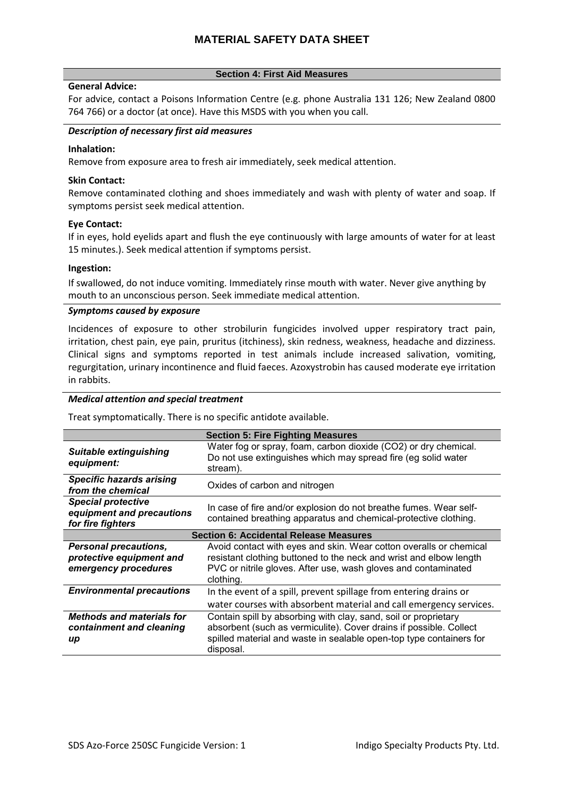# **Section 4: First Aid Measures**

## **General Advice:**

For advice, contact a Poisons Information Centre (e.g. phone Australia 131 126; New Zealand 0800 764 766) or a doctor (at once). Have this MSDS with you when you call.

# *Description of necessary first aid measures*

# **Inhalation:**

Remove from exposure area to fresh air immediately, seek medical attention.

## **Skin Contact:**

Remove contaminated clothing and shoes immediately and wash with plenty of water and soap. If symptoms persist seek medical attention.

# **Eye Contact:**

If in eyes, hold eyelids apart and flush the eye continuously with large amounts of water for at least 15 minutes.). Seek medical attention if symptoms persist.

#### **Ingestion:**

If swallowed, do not induce vomiting. Immediately rinse mouth with water. Never give anything by mouth to an unconscious person. Seek immediate medical attention.

# *Symptoms caused by exposure*

Incidences of exposure to other strobilurin fungicides involved upper respiratory tract pain, irritation, chest pain, eye pain, pruritus (itchiness), skin redness, weakness, headache and dizziness. Clinical signs and symptoms reported in test animals include increased salivation, vomiting, regurgitation, urinary incontinence and fluid faeces. Azoxystrobin has caused moderate eye irritation in rabbits.

# *Medical attention and special treatment*

Treat symptomatically. There is no specific antidote available.

|                                                                                  | <b>Section 5: Fire Fighting Measures</b>                                                                                                                                                                                  |
|----------------------------------------------------------------------------------|---------------------------------------------------------------------------------------------------------------------------------------------------------------------------------------------------------------------------|
| <b>Suitable extinguishing</b><br>equipment:                                      | Water fog or spray, foam, carbon dioxide (CO2) or dry chemical.<br>Do not use extinguishes which may spread fire (eg solid water<br>stream).                                                                              |
| <b>Specific hazards arising</b><br>from the chemical                             | Oxides of carbon and nitrogen                                                                                                                                                                                             |
| <b>Special protective</b><br>equipment and precautions<br>for fire fighters      | In case of fire and/or explosion do not breathe fumes. Wear self-<br>contained breathing apparatus and chemical-protective clothing.                                                                                      |
| <b>Section 6: Accidental Release Measures</b>                                    |                                                                                                                                                                                                                           |
| <b>Personal precautions,</b><br>protective equipment and<br>emergency procedures | Avoid contact with eyes and skin. Wear cotton overalls or chemical<br>resistant clothing buttoned to the neck and wrist and elbow length<br>PVC or nitrile gloves. After use, wash gloves and contaminated<br>clothing.   |
| <b>Environmental precautions</b>                                                 | In the event of a spill, prevent spillage from entering drains or<br>water courses with absorbent material and call emergency services.                                                                                   |
| <b>Methods and materials for</b><br>containment and cleaning<br>up               | Contain spill by absorbing with clay, sand, soil or proprietary<br>absorbent (such as vermiculite). Cover drains if possible. Collect<br>spilled material and waste in sealable open-top type containers for<br>disposal. |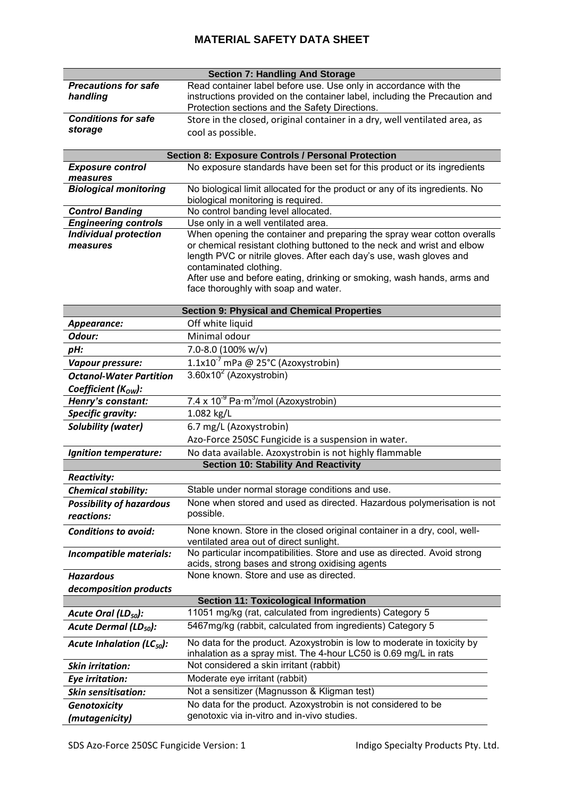|                                                    | <b>Section 7: Handling And Storage</b>                                                                                                         |  |
|----------------------------------------------------|------------------------------------------------------------------------------------------------------------------------------------------------|--|
| <b>Precautions for safe</b>                        | Read container label before use. Use only in accordance with the                                                                               |  |
| handling                                           | instructions provided on the container label, including the Precaution and                                                                     |  |
|                                                    | Protection sections and the Safety Directions.                                                                                                 |  |
| <b>Conditions for safe</b>                         | Store in the closed, original container in a dry, well ventilated area, as                                                                     |  |
| storage                                            | cool as possible.                                                                                                                              |  |
|                                                    |                                                                                                                                                |  |
|                                                    | <b>Section 8: Exposure Controls / Personal Protection</b>                                                                                      |  |
| <b>Exposure control</b>                            | No exposure standards have been set for this product or its ingredients                                                                        |  |
| measures                                           |                                                                                                                                                |  |
| <b>Biological monitoring</b>                       | No biological limit allocated for the product or any of its ingredients. No                                                                    |  |
|                                                    | biological monitoring is required.                                                                                                             |  |
| <b>Control Banding</b>                             | No control banding level allocated.                                                                                                            |  |
| <b>Engineering controls</b>                        | Use only in a well ventilated area.                                                                                                            |  |
| <b>Individual protection</b>                       | When opening the container and preparing the spray wear cotton overalls                                                                        |  |
| measures                                           | or chemical resistant clothing buttoned to the neck and wrist and elbow<br>length PVC or nitrile gloves. After each day's use, wash gloves and |  |
|                                                    | contaminated clothing.                                                                                                                         |  |
|                                                    | After use and before eating, drinking or smoking, wash hands, arms and                                                                         |  |
|                                                    | face thoroughly with soap and water.                                                                                                           |  |
|                                                    |                                                                                                                                                |  |
| <b>Section 9: Physical and Chemical Properties</b> |                                                                                                                                                |  |
| Appearance:                                        | Off white liquid                                                                                                                               |  |
| Odour:                                             | Minimal odour                                                                                                                                  |  |
| pH:                                                | 7.0-8.0 (100% w/v)                                                                                                                             |  |
| Vapour pressure:                                   | 1.1x10 $^7$ mPa @ 25°C (Azoxystrobin)                                                                                                          |  |
|                                                    | $3.60x10^2$ (Azoxystrobin)                                                                                                                     |  |
| <b>Octanol-Water Partition</b>                     |                                                                                                                                                |  |
| Coefficient $(Kow)$ :                              |                                                                                                                                                |  |
| Henry's constant:                                  | 7.4 x $10^{-9}$ Pa·m <sup>3</sup> /mol (Azoxystrobin)                                                                                          |  |
| <b>Specific gravity:</b>                           | 1.082 kg/L                                                                                                                                     |  |
| <b>Solubility (water)</b>                          | 6.7 mg/L (Azoxystrobin)                                                                                                                        |  |
|                                                    | Azo-Force 250SC Fungicide is a suspension in water.                                                                                            |  |
| <b>Ignition temperature:</b>                       | No data available. Azoxystrobin is not highly flammable                                                                                        |  |
|                                                    | <b>Section 10: Stability And Reactivity</b>                                                                                                    |  |
| <b>Reactivity:</b>                                 |                                                                                                                                                |  |
| <b>Chemical stability:</b>                         | Stable under normal storage conditions and use.                                                                                                |  |
| <b>Possibility of hazardous</b>                    | None when stored and used as directed. Hazardous polymerisation is not                                                                         |  |
| reactions:                                         | possible.                                                                                                                                      |  |
| <b>Conditions to avoid:</b>                        | None known. Store in the closed original container in a dry, cool, well-                                                                       |  |
|                                                    | ventilated area out of direct sunlight.                                                                                                        |  |
| Incompatible materials:                            | No particular incompatibilities. Store and use as directed. Avoid strong                                                                       |  |
|                                                    | acids, strong bases and strong oxidising agents                                                                                                |  |
| <b>Hazardous</b>                                   | None known. Store and use as directed.                                                                                                         |  |
| decomposition products                             |                                                                                                                                                |  |
|                                                    | <b>Section 11: Toxicological Information</b>                                                                                                   |  |
| Acute Oral $(LD_{50})$ :                           | 11051 mg/kg (rat, calculated from ingredients) Category 5                                                                                      |  |
| Acute Dermal (LD <sub>50</sub> ):                  | 5467mg/kg (rabbit, calculated from ingredients) Category 5                                                                                     |  |
|                                                    |                                                                                                                                                |  |
| Acute Inhalation ( $LC_{50}$ ):                    | No data for the product. Azoxystrobin is low to moderate in toxicity by                                                                        |  |
|                                                    | inhalation as a spray mist. The 4-hour LC50 is 0.69 mg/L in rats                                                                               |  |
| <b>Skin irritation:</b>                            | Not considered a skin irritant (rabbit)                                                                                                        |  |
| Eye irritation:                                    | Moderate eye irritant (rabbit)                                                                                                                 |  |
| <b>Skin sensitisation:</b>                         | Not a sensitizer (Magnusson & Kligman test)                                                                                                    |  |
| Genotoxicity                                       | No data for the product. Azoxystrobin is not considered to be                                                                                  |  |
| (mutagenicity)                                     | genotoxic via in-vitro and in-vivo studies.                                                                                                    |  |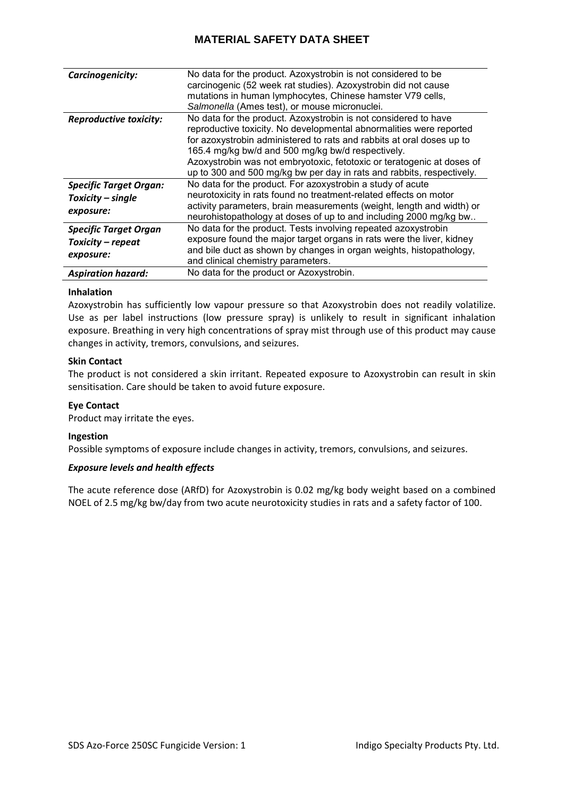| Carcinogenicity:                                                | No data for the product. Azoxystrobin is not considered to be<br>carcinogenic (52 week rat studies). Azoxystrobin did not cause<br>mutations in human lymphocytes, Chinese hamster V79 cells,<br>Salmonella (Ames test), or mouse micronuclei.                                                                                                                                                                          |
|-----------------------------------------------------------------|-------------------------------------------------------------------------------------------------------------------------------------------------------------------------------------------------------------------------------------------------------------------------------------------------------------------------------------------------------------------------------------------------------------------------|
| <b>Reproductive toxicity:</b>                                   | No data for the product. Azoxystrobin is not considered to have<br>reproductive toxicity. No developmental abnormalities were reported<br>for azoxystrobin administered to rats and rabbits at oral doses up to<br>165.4 mg/kg bw/d and 500 mg/kg bw/d respectively.<br>Azoxystrobin was not embryotoxic, fetotoxic or teratogenic at doses of<br>up to 300 and 500 mg/kg bw per day in rats and rabbits, respectively. |
| <b>Specific Target Organ:</b><br>Toxicity - single<br>exposure: | No data for the product. For azoxystrobin a study of acute<br>neurotoxicity in rats found no treatment-related effects on motor<br>activity parameters, brain measurements (weight, length and width) or<br>neurohistopathology at doses of up to and including 2000 mg/kg bw                                                                                                                                           |
| <b>Specific Target Organ</b><br>Toxicity - repeat<br>exposure:  | No data for the product. Tests involving repeated azoxystrobin<br>exposure found the major target organs in rats were the liver, kidney<br>and bile duct as shown by changes in organ weights, histopathology,<br>and clinical chemistry parameters.                                                                                                                                                                    |
| <b>Aspiration hazard:</b>                                       | No data for the product or Azoxystrobin.                                                                                                                                                                                                                                                                                                                                                                                |

# **Inhalation**

Azoxystrobin has sufficiently low vapour pressure so that Azoxystrobin does not readily volatilize. Use as per label instructions (low pressure spray) is unlikely to result in significant inhalation exposure. Breathing in very high concentrations of spray mist through use of this product may cause changes in activity, tremors, convulsions, and seizures.

## **Skin Contact**

The product is not considered a skin irritant. Repeated exposure to Azoxystrobin can result in skin sensitisation. Care should be taken to avoid future exposure.

# **Eye Contact**

Product may irritate the eyes.

#### **Ingestion**

Possible symptoms of exposure include changes in activity, tremors, convulsions, and seizures.

## *Exposure levels and health effects*

The acute reference dose (ARfD) for Azoxystrobin is 0.02 mg/kg body weight based on a combined NOEL of 2.5 mg/kg bw/day from two acute neurotoxicity studies in rats and a safety factor of 100.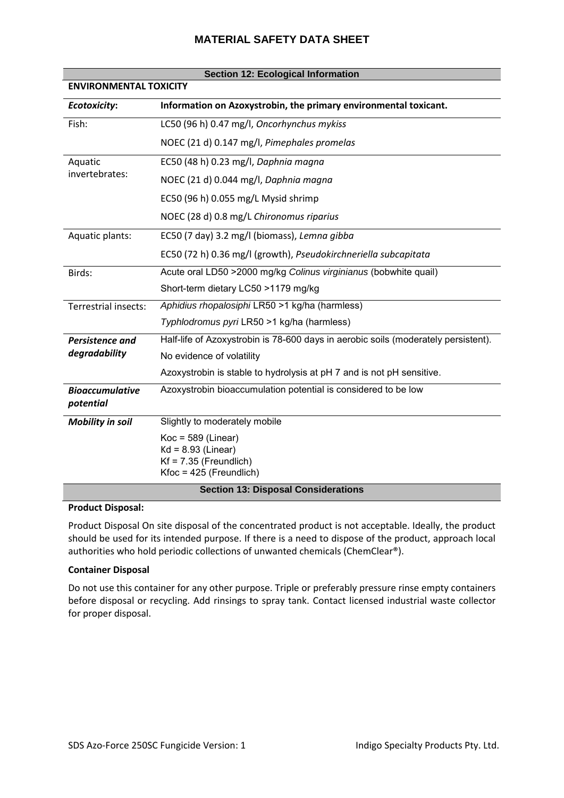| <b>Section 12: Ecological Information</b>  |                                                                                                       |  |
|--------------------------------------------|-------------------------------------------------------------------------------------------------------|--|
| <b>ENVIRONMENTAL TOXICITY</b>              |                                                                                                       |  |
| <b>Ecotoxicity:</b>                        | Information on Azoxystrobin, the primary environmental toxicant.                                      |  |
| Fish:                                      | LC50 (96 h) 0.47 mg/l, Oncorhynchus mykiss                                                            |  |
|                                            | NOEC (21 d) 0.147 mg/l, Pimephales promelas                                                           |  |
| Aquatic                                    | EC50 (48 h) 0.23 mg/l, Daphnia magna                                                                  |  |
| invertebrates:                             | NOEC (21 d) 0.044 mg/l, Daphnia magna                                                                 |  |
|                                            | EC50 (96 h) 0.055 mg/L Mysid shrimp                                                                   |  |
|                                            | NOEC (28 d) 0.8 mg/L Chironomus riparius                                                              |  |
| Aquatic plants:                            | EC50 (7 day) 3.2 mg/l (biomass), Lemna gibba                                                          |  |
|                                            | EC50 (72 h) 0.36 mg/l (growth), Pseudokirchneriella subcapitata                                       |  |
| Birds:                                     | Acute oral LD50 >2000 mg/kg Colinus virginianus (bobwhite quail)                                      |  |
|                                            | Short-term dietary LC50 >1179 mg/kg                                                                   |  |
| Terrestrial insects:                       | Aphidius rhopalosiphi LR50 >1 kg/ha (harmless)                                                        |  |
|                                            | Typhlodromus pyri LR50 >1 kg/ha (harmless)                                                            |  |
| <b>Persistence and</b><br>degradability    | Half-life of Azoxystrobin is 78-600 days in aerobic soils (moderately persistent).                    |  |
|                                            | No evidence of volatility                                                                             |  |
|                                            | Azoxystrobin is stable to hydrolysis at pH 7 and is not pH sensitive.                                 |  |
| <b>Bioaccumulative</b><br>potential        | Azoxystrobin bioaccumulation potential is considered to be low                                        |  |
| <b>Mobility in soil</b>                    | Slightly to moderately mobile                                                                         |  |
|                                            | $Koc = 589$ (Linear)<br>$Kd = 8.93$ (Linear)<br>$Kf = 7.35$ (Freundlich)<br>$Kfoc = 425$ (Freundlich) |  |
| <b>Section 13: Disposal Considerations</b> |                                                                                                       |  |

#### **Product Disposal:**

Product Disposal On site disposal of the concentrated product is not acceptable. Ideally, the product should be used for its intended purpose. If there is a need to dispose of the product, approach local authorities who hold periodic collections of unwanted chemicals (ChemClear®).

## **Container Disposal**

Do not use this container for any other purpose. Triple or preferably pressure rinse empty containers before disposal or recycling. Add rinsings to spray tank. Contact licensed industrial waste collector for proper disposal.